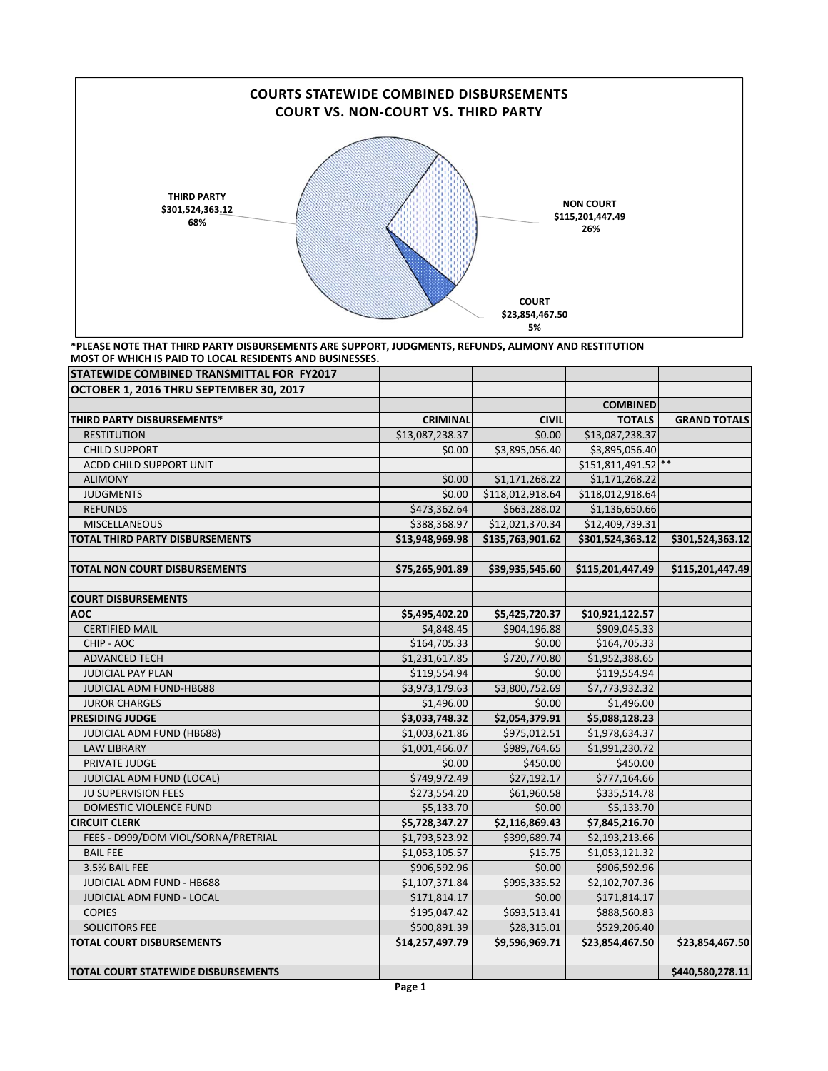

## **\*PLEASE NOTE THAT THIRD PARTY DISBURSEMENTS ARE SUPPORT, JUDGMENTS, REFUNDS, ALIMONY AND RESTITUTION MOST OF WHICH IS PAID TO LOCAL RESIDENTS AND BUSINESSES.**

| STATEWIDE COMBINED TRANSMITTAL FOR FY2017 |                 |                  |                     |                     |
|-------------------------------------------|-----------------|------------------|---------------------|---------------------|
| OCTOBER 1, 2016 THRU SEPTEMBER 30, 2017   |                 |                  |                     |                     |
|                                           |                 |                  | <b>COMBINED</b>     |                     |
| THIRD PARTY DISBURSEMENTS*                | <b>CRIMINAL</b> | <b>CIVIL</b>     | <b>TOTALS</b>       | <b>GRAND TOTALS</b> |
| <b>RESTITUTION</b>                        | \$13,087,238.37 | \$0.00           | \$13,087,238.37     |                     |
| <b>CHILD SUPPORT</b>                      | \$0.00          | \$3,895,056.40   | \$3,895,056.40      |                     |
| <b>ACDD CHILD SUPPORT UNIT</b>            |                 |                  | \$151,811,491.52 ** |                     |
| <b>ALIMONY</b>                            | \$0.00          | \$1,171,268.22   | \$1,171,268.22      |                     |
| <b>JUDGMENTS</b>                          | \$0.00          | \$118,012,918.64 | \$118,012,918.64    |                     |
| <b>REFUNDS</b>                            | \$473,362.64    | \$663,288.02     | \$1,136,650.66      |                     |
| <b>MISCELLANEOUS</b>                      | \$388,368.97    | \$12,021,370.34  | \$12,409,739.31     |                     |
| <b>TOTAL THIRD PARTY DISBURSEMENTS</b>    | \$13,948,969.98 | \$135,763,901.62 | \$301,524,363.12    | \$301,524,363.12    |
| <b>TOTAL NON COURT DISBURSEMENTS</b>      | \$75,265,901.89 | \$39,935,545.60  | \$115,201,447.49    | \$115,201,447.49    |
|                                           |                 |                  |                     |                     |
| <b>COURT DISBURSEMENTS</b>                |                 |                  |                     |                     |
| <b>AOC</b>                                | \$5,495,402.20  | \$5,425,720.37   | \$10,921,122.57     |                     |
| <b>CERTIFIED MAIL</b>                     | \$4,848.45      | \$904,196.88     | \$909,045.33        |                     |
| CHIP - AOC                                | \$164,705.33    | \$0.00           | \$164,705.33        |                     |
| <b>ADVANCED TECH</b>                      | \$1,231,617.85  | \$720,770.80     | \$1,952,388.65      |                     |
| <b>JUDICIAL PAY PLAN</b>                  | \$119,554.94    | \$0.00           | \$119,554.94        |                     |
| JUDICIAL ADM FUND-HB688                   | \$3,973,179.63  | \$3,800,752.69   | \$7,773,932.32      |                     |
| <b>JUROR CHARGES</b>                      | \$1,496.00      | \$0.00           | \$1,496.00          |                     |
| <b>PRESIDING JUDGE</b>                    | \$3,033,748.32  | \$2,054,379.91   | \$5,088,128.23      |                     |
| JUDICIAL ADM FUND (HB688)                 | \$1,003,621.86  | \$975,012.51     | \$1,978,634.37      |                     |
| <b>LAW LIBRARY</b>                        | \$1,001,466.07  | \$989,764.65     | \$1,991,230.72      |                     |
| PRIVATE JUDGE                             | \$0.00          | \$450.00         | \$450.00            |                     |
| JUDICIAL ADM FUND (LOCAL)                 | \$749,972.49    | \$27,192.17      | \$777,164.66        |                     |
| JU SUPERVISION FEES                       | \$273,554.20    | \$61,960.58      | \$335,514.78        |                     |
| DOMESTIC VIOLENCE FUND                    | \$5,133.70      | \$0.00           | \$5,133.70          |                     |
| <b>CIRCUIT CLERK</b>                      | \$5,728,347.27  | \$2,116,869.43   | \$7,845,216.70      |                     |
| FEES - D999/DOM VIOL/SORNA/PRETRIAL       | \$1,793,523.92  | \$399,689.74     | \$2,193,213.66      |                     |
| <b>BAIL FEE</b>                           | \$1,053,105.57  | \$15.75          | \$1,053,121.32      |                     |
| 3.5% BAIL FEE                             | \$906,592.96    | \$0.00           | \$906,592.96        |                     |
| JUDICIAL ADM FUND - HB688                 | \$1,107,371.84  | \$995,335.52     | \$2,102,707.36      |                     |
| JUDICIAL ADM FUND - LOCAL                 | \$171,814.17    | \$0.00           | \$171,814.17        |                     |
| <b>COPIES</b>                             | \$195,047.42    | \$693,513.41     | \$888,560.83        |                     |
| SOLICITORS FEE                            | \$500,891.39    | \$28,315.01      | \$529,206.40        |                     |
| TOTAL COURT DISBURSEMENTS                 | \$14,257,497.79 | \$9,596,969.71   | \$23,854,467.50     | \$23,854,467.50     |
|                                           |                 |                  |                     |                     |
| TOTAL COURT STATEWIDE DISBURSEMENTS       |                 |                  |                     | \$440,580,278.11    |